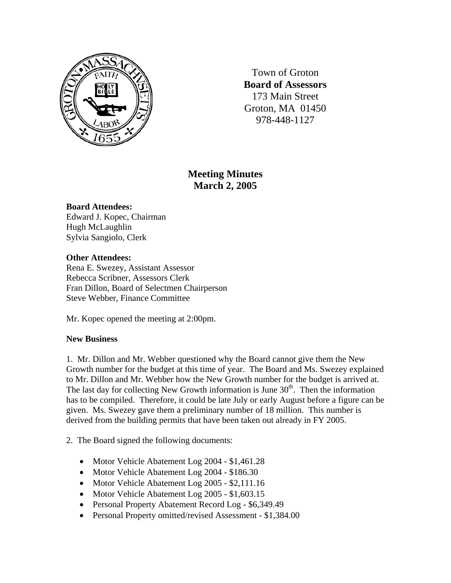

Town of Groton **Board of Assessors**  173 Main Street Groton, MA 01450 978-448-1127

# **Meeting Minutes March 2, 2005**

## **Board Attendees:**

Edward J. Kopec, Chairman Hugh McLaughlin Sylvia Sangiolo, Clerk

## **Other Attendees:**

Rena E. Swezey, Assistant Assessor Rebecca Scribner, Assessors Clerk Fran Dillon, Board of Selectmen Chairperson Steve Webber, Finance Committee

Mr. Kopec opened the meeting at 2:00pm.

## **New Business**

1. Mr. Dillon and Mr. Webber questioned why the Board cannot give them the New Growth number for the budget at this time of year. The Board and Ms. Swezey explained to Mr. Dillon and Mr. Webber how the New Growth number for the budget is arrived at. The last day for collecting New Growth information is June  $30<sup>th</sup>$ . Then the information has to be compiled. Therefore, it could be late July or early August before a figure can be given. Ms. Swezey gave them a preliminary number of 18 million. This number is derived from the building permits that have been taken out already in FY 2005.

2. The Board signed the following documents:

- Motor Vehicle Abatement Log 2004 \$1,461.28
- Motor Vehicle Abatement Log 2004 \$186.30
- Motor Vehicle Abatement Log 2005 \$2,111.16
- Motor Vehicle Abatement Log 2005 \$1,603.15
- Personal Property Abatement Record Log \$6,349.49
- Personal Property omitted/revised Assessment \$1,384.00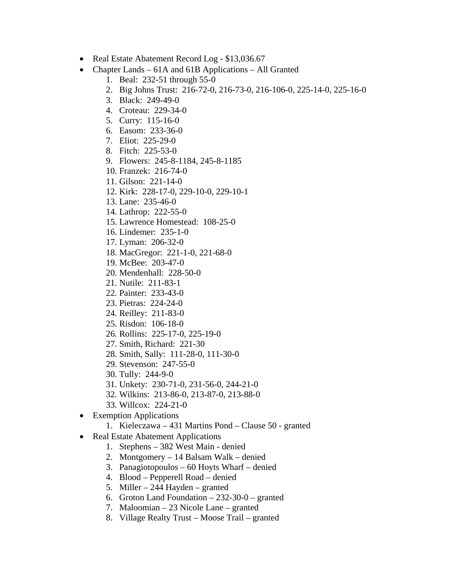- Real Estate Abatement Record Log \$13,036.67
- Chapter Lands 61A and 61B Applications All Granted
	- 1. Beal: 232-51 through 55-0
	- 2. Big Johns Trust: 216-72-0, 216-73-0, 216-106-0, 225-14-0, 225-16-0
	- 3. Black: 249-49-0
	- 4. Croteau: 229-34-0
	- 5. Curry: 115-16-0
	- 6. Easom: 233-36-0
	- 7. Eliot: 225-29-0
	- 8. Fitch: 225-53-0
	- 9. Flowers: 245-8-1184, 245-8-1185
	- 10. Franzek: 216-74-0
	- 11. Gilson: 221-14-0
	- 12. Kirk: 228-17-0, 229-10-0, 229-10-1
	- 13. Lane: 235-46-0
	- 14. Lathrop: 222-55-0
	- 15. Lawrence Homestead: 108-25-0
	- 16. Lindemer: 235-1-0
	- 17. Lyman: 206-32-0
	- 18. MacGregor: 221-1-0, 221-68-0
	- 19. McBee: 203-47-0
	- 20. Mendenhall: 228-50-0
	- 21. Nutile: 211-83-1
	- 22. Painter: 233-43-0
	- 23. Pietras: 224-24-0
	- 24. Reilley: 211-83-0
	- 25. Risdon: 106-18-0
	- 26. Rollins: 225-17-0, 225-19-0
	- 27. Smith, Richard: 221-30
	- 28. Smith, Sally: 111-28-0, 111-30-0
	- 29. Stevenson: 247-55-0
	- 30. Tully: 244-9-0
	- 31. Unkety: 230-71-0, 231-56-0, 244-21-0
	- 32. Wilkins: 213-86-0, 213-87-0, 213-88-0
	- 33. Willcox: 224-21-0
- Exemption Applications
	- 1. Kieleczawa 431 Martins Pond Clause 50 granted
- Real Estate Abatement Applications
	- 1. Stephens 382 West Main denied
	- 2. Montgomery 14 Balsam Walk denied
	- 3. Panagiotopoulos 60 Hoyts Wharf denied
	- 4. Blood Pepperell Road denied
	- 5. Miller 244 Hayden granted
	- 6. Groton Land Foundation 232-30-0 granted
	- 7. Maloomian 23 Nicole Lane granted
	- 8. Village Realty Trust Moose Trail granted